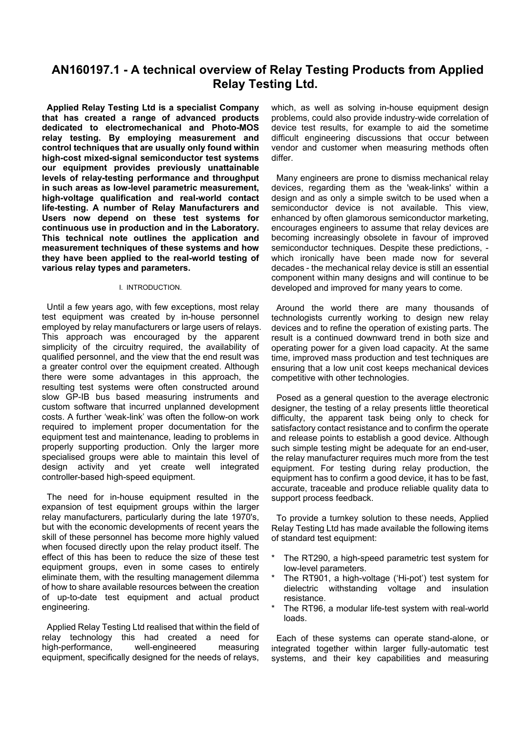# **AN160197.1 - A technical overview of Relay Testing Products from Applied Relay Testing Ltd.**

**Applied Relay Testing Ltd is a specialist Company that has created a range of advanced products dedicated to electromechanical and Photo-MOS relay testing. By employing measurement and control techniques that are usually only found within high-cost mixed-signal semiconductor test systems our equipment provides previously unattainable levels of relay-testing performance and throughput in such areas as low-level parametric measurement, high-voltage qualification and real-world contact life-testing. A number of Relay Manufacturers and Users now depend on these test systems for continuous use in production and in the Laboratory. This technical note outlines the application and measurement techniques of these systems and how they have been applied to the real-world testing of various relay types and parameters.**

#### I. INTRODUCTION.

Until a few years ago, with few exceptions, most relay test equipment was created by in-house personnel employed by relay manufacturers or large users of relays. This approach was encouraged by the apparent simplicity of the circuitry required, the availability of qualified personnel, and the view that the end result was a greater control over the equipment created. Although there were some advantages in this approach, the resulting test systems were often constructed around slow GP-IB bus based measuring instruments and custom software that incurred unplanned development costs. A further 'weak-link' was often the follow-on work required to implement proper documentation for the equipment test and maintenance, leading to problems in properly supporting production. Only the larger more specialised groups were able to maintain this level of design activity and yet create well integrated controller-based high-speed equipment.

The need for in-house equipment resulted in the expansion of test equipment groups within the larger relay manufacturers, particularly during the late 1970's, but with the economic developments of recent years the skill of these personnel has become more highly valued when focused directly upon the relay product itself. The effect of this has been to reduce the size of these test equipment groups, even in some cases to entirely eliminate them, with the resulting management dilemma of how to share available resources between the creation of up-to-date test equipment and actual product engineering.

Applied Relay Testing Ltd realised that within the field of relay technology this had created a need for high-performance, well-engineered measuring equipment, specifically designed for the needs of relays,

which, as well as solving in-house equipment design problems, could also provide industry-wide correlation of device test results, for example to aid the sometime difficult engineering discussions that occur between vendor and customer when measuring methods often differ.

Many engineers are prone to dismiss mechanical relay devices, regarding them as the 'weak-links' within a design and as only a simple switch to be used when a semiconductor device is not available. This view, enhanced by often glamorous semiconductor marketing, encourages engineers to assume that relay devices are becoming increasingly obsolete in favour of improved semiconductor techniques. Despite these predictions, which ironically have been made now for several decades - the mechanical relay device is still an essential component within many designs and will continue to be developed and improved for many years to come.

Around the world there are many thousands of technologists currently working to design new relay devices and to refine the operation of existing parts. The result is a continued downward trend in both size and operating power for a given load capacity. At the same time, improved mass production and test techniques are ensuring that a low unit cost keeps mechanical devices competitive with other technologies.

Posed as a general question to the average electronic designer, the testing of a relay presents little theoretical difficulty, the apparent task being only to check for satisfactory contact resistance and to confirm the operate and release points to establish a good device. Although such simple testing might be adequate for an end-user, the relay manufacturer requires much more from the test equipment. For testing during relay production, the equipment has to confirm a good device, it has to be fast, accurate, traceable and produce reliable quality data to support process feedback.

To provide a turnkey solution to these needs, Applied Relay Testing Ltd has made available the following items of standard test equipment:

- The RT290, a high-speed parametric test system for low-level parameters.
- The RT901, a high-voltage ('Hi-pot') test system for dielectric withstanding voltage and insulation resistance.
- The RT96, a modular life-test system with real-world loads.

Each of these systems can operate stand-alone, or integrated together within larger fully-automatic test systems, and their key capabilities and measuring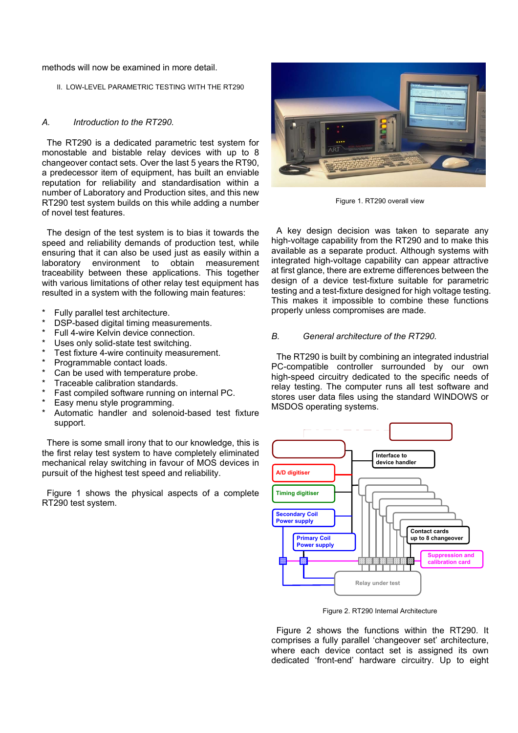methods will now be examined in more detail.

#### II. LOW-LEVEL PARAMETRIC TESTING WITH THE RT290

#### *A. Introduction to the RT290.*

The RT290 is a dedicated parametric test system for monostable and bistable relay devices with up to 8 changeover contact sets. Over the last 5 years the RT90, a predecessor item of equipment, has built an enviable reputation for reliability and standardisation within a number of Laboratory and Production sites, and this new RT290 test system builds on this while adding a number of novel test features.

The design of the test system is to bias it towards the speed and reliability demands of production test, while ensuring that it can also be used just as easily within a laboratory environment to obtain measurement traceability between these applications. This together with various limitations of other relay test equipment has resulted in a system with the following main features:

- Fully parallel test architecture.
- DSP-based digital timing measurements.
- Full 4-wire Kelvin device connection. **B.** General architecture of the RT290.
- Uses only solid-state test switching.
- 
- Programmable contact loads.
- Can be used with temperature probe.
- Traceable calibration standards.
- Fast compiled software running on internal PC.
- Easy menu style programming.
- Automatic handler and solenoid-based test fixture support.

There is some small irony that to our knowledge, this is the first relay test system to have completely eliminated mechanical relay switching in favour of MOS devices in pursuit of the highest test speed and reliability.

Figure 1 shows the physical aspects of a complete RT290 test system.



Figure 1. RT290 overall view

A key design decision was taken to separate any high-voltage capability from the RT290 and to make this available as a separate product. Although systems with integrated high-voltage capability can appear attractive at first glance, there are extreme differences between the design of a device test-fixture suitable for parametric testing and a test-fixture designed for high voltage testing. This makes it impossible to combine these functions properly unless compromises are made.

Test fixture 4-wire continuity measurement. The RT290 is built by combining an integrated industrial PC-compatible controller surrounded by our own high-speed circuitry dedicated to the specific needs of relay testing. The computer runs all test software and stores user data files using the standard WINDOWS or MSDOS operating systems.



Figure 2. RT290 Internal Architecture

Figure 2 shows the functions within the RT290. It comprises a fully parallel 'changeover set' architecture, where each device contact set is assigned its own dedicated 'front-end' hardware circuitry. Up to eight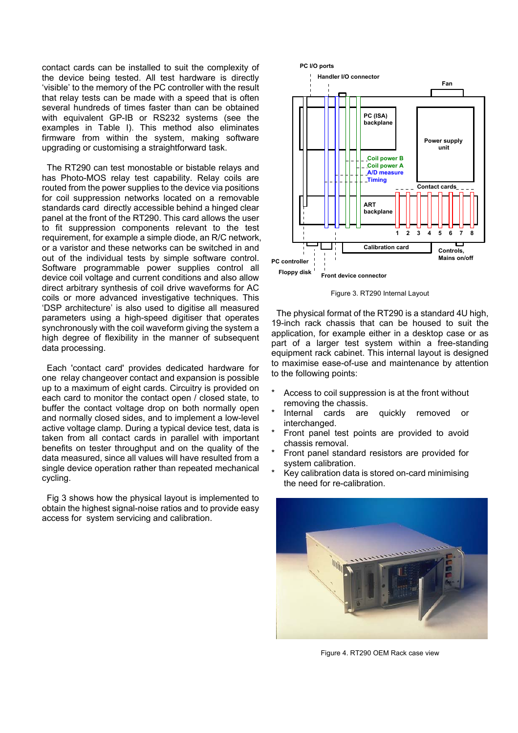contact cards can be installed to suit the complexity of the device being tested. All test hardware is directly 'visible' to the memory of the PC controller with the result that relay tests can be made with a speed that is often several hundreds of times faster than can be obtained with equivalent GP-IB or RS232 systems (see the examples in Table I). This method also eliminates firmware from within the system, making software upgrading or customising a straightforward task.

The RT290 can test monostable or bistable relays and has Photo-MOS relay test capability. Relay coils are routed from the power supplies to the device via positions for coil suppression networks located on a removable standards card directly accessible behind a hinged clear panel at the front of the RT290. This card allows the user to fit suppression components relevant to the test requirement, for example a simple diode, an R/C network, or a varistor and these networks can be switched in and out of the individual tests by simple software control. Software programmable power supplies control all device coil voltage and current conditions and also allow direct arbitrary synthesis of coil drive waveforms for AC coils or more advanced investigative techniques. This 'DSP architecture' is also used to digitise all measured parameters using a high-speed digitiser that operates synchronously with the coil waveform giving the system a high degree of flexibility in the manner of subsequent data processing.

Each 'contact card' provides dedicated hardware for the following points: one relay changeover contact and expansion is possible up to a maximum of eight cards. Circuitry is provided on each card to monitor the contact open / closed state, to buffer the contact voltage drop on both normally open and normally closed sides, and to implement a low-level active voltage clamp. During a typical device test, data is taken from all contact cards in parallel with important benefits on tester throughput and on the quality of the data measured, since all values will have resulted from a single device operation rather than repeated mechanical cycling.

Fig 3 shows how the physical layout is implemented to obtain the highest signal-noise ratios and to provide easy access for system servicing and calibration.



Figure 3. RT290 Internal Layout

The physical format of the RT290 is a standard 4U high, 19-inch rack chassis that can be housed to suit the application, for example either in a desktop case or as part of a larger test system within a free-standing equipment rack cabinet. This internal layout is designed to maximise ease-of-use and maintenance by attention

- Access to coil suppression is at the front without removing the chassis.
- Internal cards are quickly removed or interchanged.
- Front panel test points are provided to avoid chassis removal.
- Front panel standard resistors are provided for system calibration.
- Key calibration data is stored on-card minimising the need for re-calibration.



Figure 4. RT290 OEM Rack case view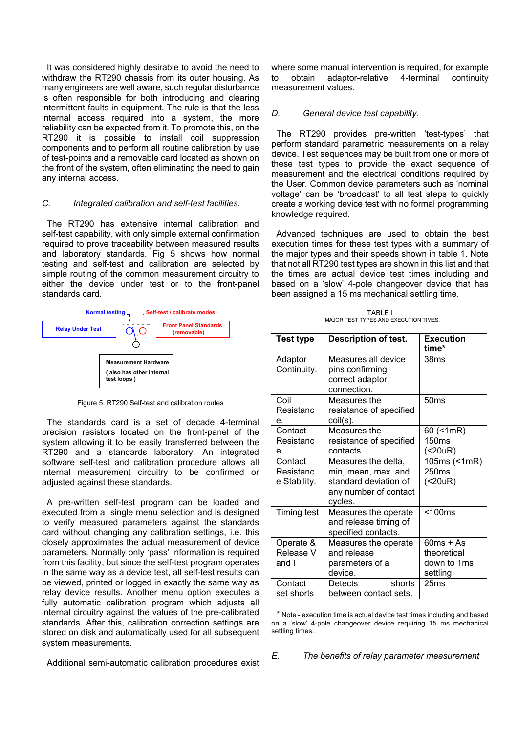It was considered highly desirable to avoid the need to withdraw the RT290 chassis from its outer housing. As many engineers are well aware, such regular disturbance is often responsible for both introducing and clearing intermittent faults in equipment. The rule is that the less internal access required into a system, the more reliability can be expected from it. To promote this, on the RT290 it is possible to install coil suppression components and to perform all routine calibration by use of test-points and a removable card located as shown on the front of the system, often eliminating the need to gain any internal access.

#### *C. Integrated calibration and self-test facilities.*

The RT290 has extensive internal calibration and self-test capability, with only simple external confirmation required to prove traceability between measured results and laboratory standards. Fig 5 shows how normal testing and self-test and calibration are selected by simple routing of the common measurement circuitry to either the device under test or to the front-panel standards card.



Figure 5. RT290 Self-test and calibration routes

The standards card is a set of decade 4-terminal precision resistors located on the front-panel of the system allowing it to be easily transferred between the RT290 and a standards laboratory. An integrated software self-test and calibration procedure allows all internal measurement circuitry to be confirmed or adjusted against these standards.

A pre-written self-test program can be loaded and executed from a single menu selection and is designed to verify measured parameters against the standards card without changing any calibration settings, i.e. this closely approximates the actual measurement of device parameters. Normally only 'pass' information is required from this facility, but since the self-test program operates in the same way as a device test, all self-test results can be viewed, printed or logged in exactly the same way as relay device results. Another menu option executes a fully automatic calibration program which adjusts all internal circuitry against the values of the pre-calibrated standards. After this, calibration correction settings are stored on disk and automatically used for all subsequent system measurements.

Additional semi-automatic calibration procedures exist

where some manual intervention is required, for example to obtain adaptor-relative 4-terminal continuity measurement values.

#### *D. General device test capability.*

The RT290 provides pre-written 'test-types' that perform standard parametric measurements on a relay device. Test sequences may be built from one or more of these test types to provide the exact sequence of measurement and the electrical conditions required by the User. Common device parameters such as 'nominal voltage' can be 'broadcast' to all test steps to quickly create a working device test with no formal programming knowledge required.

Advanced techniques are used to obtain the best execution times for these test types with a summary of the major types and their speeds shown in table 1. Note that not all RT290 test types are shown in this list and that the times are actual device test times including and based on a 'slow' 4-pole changeover device that has been assigned a 15 ms mechanical settling time.

TABLE I MAJOR TEST TYPES AND EXECUTION TIMES.

| <b>Test type</b>                     | <b>Description of test.</b>                                                                             | <b>Execution</b><br>time*                             |  |  |  |
|--------------------------------------|---------------------------------------------------------------------------------------------------------|-------------------------------------------------------|--|--|--|
| Adaptor<br>Continuity.               | Measures all device<br>pins confirming<br>correct adaptor<br>connection.                                | 38ms                                                  |  |  |  |
| Coil<br>Resistanc<br>е.              | Measures the<br>resistance of specified<br>coil(s).                                                     | 50 <sub>ms</sub>                                      |  |  |  |
| Contact<br>Resistanc<br>е.           | Measures the<br>resistance of specified<br>contacts.                                                    | 60 (<1mR)<br>150 <sub>ms</sub><br>(<20uR)             |  |  |  |
| Contact<br>Resistanc<br>e Stability. | Measures the delta,<br>min, mean, max. and<br>standard deviation of<br>any number of contact<br>cycles. | 105ms (<1mR)<br>250ms<br>(20uR)                       |  |  |  |
| <b>Timing test</b>                   | Measures the operate<br>and release timing of<br>specified contacts.                                    | $<$ 100 $ms$                                          |  |  |  |
| Operate &<br>Release V<br>and I      | Measures the operate<br>and release<br>parameters of a<br>device.                                       | $60ms + As$<br>theoretical<br>down to 1ms<br>settling |  |  |  |
| Contact<br>set shorts                | Detects<br>shorts<br>between contact sets.                                                              | 25ms                                                  |  |  |  |

\* Note - execution time is actual device test times including and based on a 'slow' 4-pole changeover device requiring 15 ms mechanical settling times..

*E. The benefits of relay parameter measurement*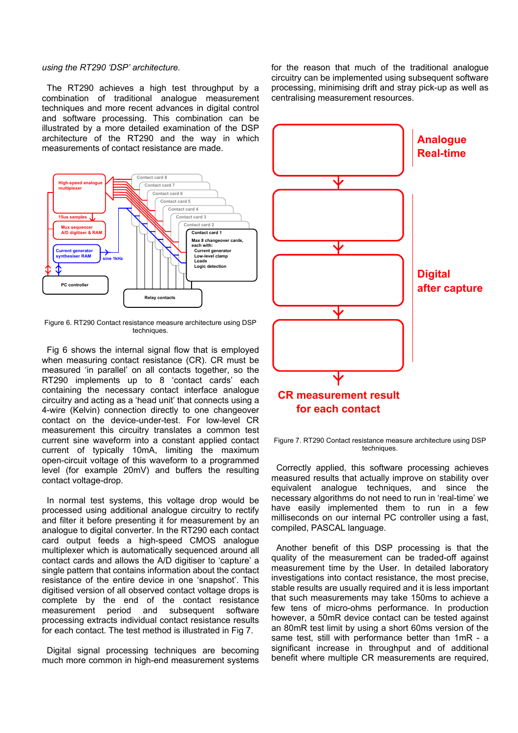#### *using the RT290 'DSP' architecture.*

The RT290 achieves a high test throughput by a combination of traditional analogue measurement techniques and more recent advances in digital control and software processing. This combination can be illustrated by a more detailed examination of the DSP architecture of the RT290 and the way in which measurements of contact resistance are made.



Figure 6. RT290 Contact resistance measure architecture using DSP **techniques** 

Fig 6 shows the internal signal flow that is employed when measuring contact resistance (CR). CR must be measured 'in parallel' on all contacts together, so the RT290 implements up to 8 'contact cards' each containing the necessary contact interface analogue circuitry and acting as a 'head unit' that connects using a 4-wire (Kelvin) connection directly to one changeover contact on the device-under-test. For low-level CR measurement this circuitry translates a common test current sine waveform into a constant applied contact current of typically 10mA, limiting the maximum open-circuit voltage of this waveform to a programmed level (for example 20mV) and buffers the resulting contact voltage-drop.

In normal test systems, this voltage drop would be processed using additional analogue circuitry to rectify and filter it before presenting it for measurement by an analogue to digital converter. In the RT290 each contact card output feeds a high-speed CMOS analogue multiplexer which is automatically sequenced around all contact cards and allows the A/D digitiser to 'capture' a single pattern that contains information about the contact resistance of the entire device in one 'snapshot'. This digitised version of all observed contact voltage drops is complete by the end of the contact resistance measurement period and subsequent software processing extracts individual contact resistance results for each contact. The test method is illustrated in Fig 7.

Digital signal processing techniques are becoming much more common in high-end measurement systems for the reason that much of the traditional analogue circuitry can be implemented using subsequent software processing, minimising drift and stray pick-up as well as centralising measurement resources.



Figure 7. RT290 Contact resistance measure architecture using DSP techniques.

Correctly applied, this software processing achieves measured results that actually improve on stability over equivalent analogue techniques, and since the necessary algorithms do not need to run in 'real-time' we have easily implemented them to run in a few milliseconds on our internal PC controller using a fast, compiled, PASCAL language.

Another benefit of this DSP processing is that the quality of the measurement can be traded-off against measurement time by the User. In detailed laboratory investigations into contact resistance, the most precise, stable results are usually required and it is less important that such measurements may take 150ms to achieve a few tens of micro-ohms performance. In production however, a 50mR device contact can be tested against an 80mR test limit by using a short 60ms version of the same test, still with performance better than 1mR - a significant increase in throughput and of additional benefit where multiple CR measurements are required,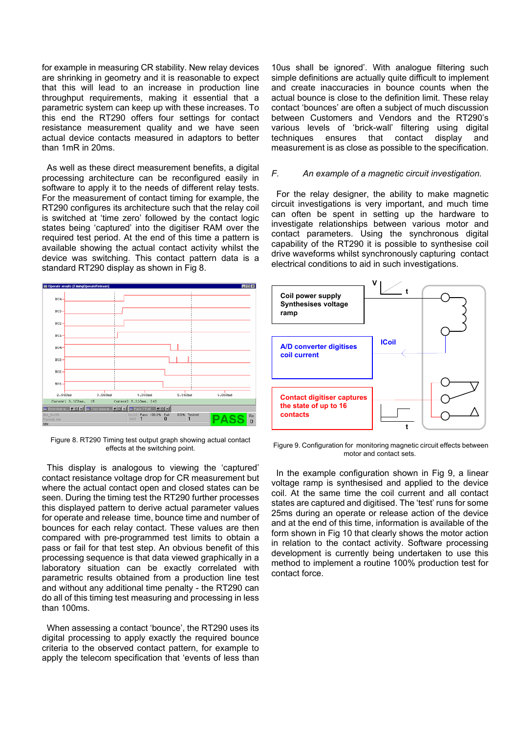for example in measuring CR stability. New relay devices are shrinking in geometry and it is reasonable to expect that this will lead to an increase in production line throughput requirements, making it essential that a parametric system can keep up with these increases. To this end the RT290 offers four settings for contact resistance measurement quality and we have seen actual device contacts measured in adaptors to better than 1mR in 20ms.

As well as these direct measurement benefits, a digital processing architecture can be reconfigured easily in software to apply it to the needs of different relay tests. For the measurement of contact timing for example, the RT290 configures its architecture such that the relay coil is switched at 'time zero' followed by the contact logic states being 'captured' into the digitiser RAM over the required test period. At the end of this time a pattern is available showing the actual contact activity whilst the device was switching. This contact pattern data is a standard RT290 display as shown in Fig 8.



Figure 8. RT290 Timing test output graph showing actual contact effects at the switching point.

This display is analogous to viewing the 'captured' contact resistance voltage drop for CR measurement but where the actual contact open and closed states can be seen. During the timing test the RT290 further processes this displayed pattern to derive actual parameter values for operate and release time, bounce time and number of bounces for each relay contact. These values are then compared with pre-programmed test limits to obtain a pass or fail for that test step. An obvious benefit of this processing sequence is that data viewed graphically in a laboratory situation can be exactly correlated with parametric results obtained from a production line test and without any additional time penalty - the RT290 can do all of this timing test measuring and processing in less than 100ms.

When assessing a contact 'bounce', the RT290 uses its digital processing to apply exactly the required bounce criteria to the observed contact pattern, for example to apply the telecom specification that 'events of less than 10us shall be ignored'. With analogue filtering such simple definitions are actually quite difficult to implement and create inaccuracies in bounce counts when the actual bounce is close to the definition limit. These relay contact 'bounces' are often a subject of much discussion between Customers and Vendors and the RT290's various levels of 'brick-wall' filtering using digital techniques ensures that contact display and measurement is as close as possible to the specification.

#### *F. An example of a magnetic circuit investigation.*

For the relay designer, the ability to make magnetic circuit investigations is very important, and much time can often be spent in setting up the hardware to investigate relationships between various motor and contact parameters. Using the synchronous digital capability of the RT290 it is possible to synthesise coil drive waveforms whilst synchronously capturing contact electrical conditions to aid in such investigations.



Figure 9. Configuration for monitoring magnetic circuit effects between motor and contact sets.

In the example configuration shown in Fig 9, a linear voltage ramp is synthesised and applied to the device coil. At the same time the coil current and all contact states are captured and digitised. The 'test' runs for some 25ms during an operate or release action of the device and at the end of this time, information is available of the form shown in Fig 10 that clearly shows the motor action in relation to the contact activity. Software processing development is currently being undertaken to use this method to implement a routine 100% production test for contact force.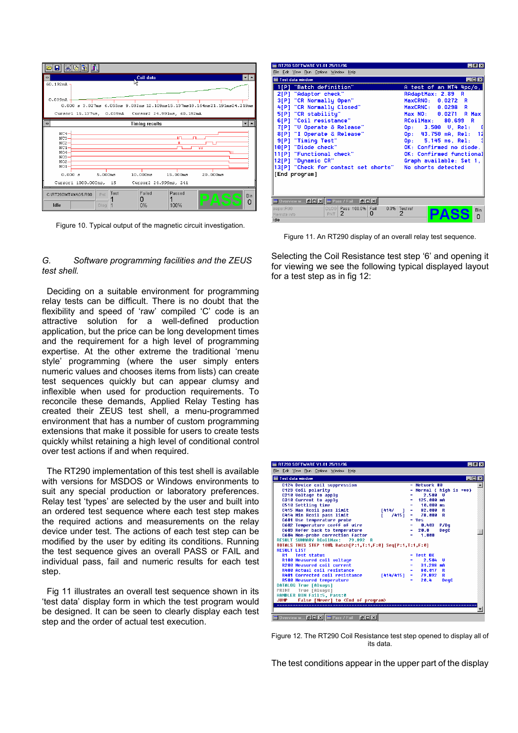| $\blacksquare$       | Coil data                                                                |            |
|----------------------|--------------------------------------------------------------------------|------------|
| 60.192mA             |                                                                          |            |
|                      |                                                                          |            |
| 0.039 <sub>mA</sub>  |                                                                          |            |
|                      | 0.000 s 3.027ms 6.055ms 9.082ms 12.109ms15.137ms18.164ms21.191ms24.219ms |            |
|                      | Cursor1 15.137us, 0.039mA Cursor2 24.991ms, 60.192mA                     |            |
| $\blacksquare$       | <b>Timing results</b>                                                    |            |
| $NC4-$<br>$NC3-$     | IП                                                                       |            |
| $NC2-$<br>$NC1-$     | w                                                                        |            |
| $NO4-$               |                                                                          |            |
| $NO3-$<br>$MO2 -$    |                                                                          |            |
| $NO1 -$              |                                                                          |            |
| 0.000 s              | 20.000ms<br>5.000ms<br>10.000ms<br>15.000ms                              |            |
|                      | Cursor1 1000.000ns, 15<br>Cursor2 24.999ms, 241                          |            |
| C:\RT290\MT4MAG5.R90 | Failed<br>Test<br>Passed<br>Pnt<br>۰<br>Â<br>0                           | <b>Bin</b> |
| Idle                 | 100%<br>0%<br>Dlog                                                       | n          |

Figure 10. Typical output of the magnetic circuit investigation.

#### *G. Software programming facilities and the ZEUS test shell.*

Deciding on a suitable environment for programming relay tests can be difficult. There is no doubt that the flexibility and speed of 'raw' compiled 'C' code is an attractive solution for a well-defined production application, but the price can be long development times and the requirement for a high level of programming expertise. At the other extreme the traditional 'menu style' programming (where the user simply enters numeric values and chooses items from lists) can create test sequences quickly but can appear clumsy and inflexible when used for production requirements. To reconcile these demands, Applied Relay Testing has created their ZEUS test shell, a menu-programmed environment that has a number of custom programming extensions that make it possible for users to create tests quickly whilst retaining a high level of conditional control over test actions if and when required.

The RT290 implementation of this test shell is available with versions for MSDOS or Windows environments to suit any special production or laboratory preferences. Relay test 'types' are selected by the user and built into an ordered test sequence where each test step makes the required actions and measurements on the relay device under test. The actions of each test step can be modified by the user by editing its conditions. Running the test sequence gives an overall PASS or FAIL and individual pass, fail and numeric results for each test step.

Fig 11 illustrates an overall test sequence shown in its 'test data' display form in which the test program would be designed. It can be seen to clearly display each test step and the order of actual test execution.

| RT290 SOFTWARE V1.01 25/11/96                               | $\Box B$ $\times$                             |  |  |  |
|-------------------------------------------------------------|-----------------------------------------------|--|--|--|
| Edit View Run Options Window Help<br>File                   |                                               |  |  |  |
| Test data window                                            | EOX                                           |  |  |  |
| 1[P] "Batch definition"                                     | A test of an MT4 4pc/o,                       |  |  |  |
| 2[P] "Adaptor check"                                        | RAdaptMax: 2.89<br>R                          |  |  |  |
| 3[P] "CR Normally Open"                                     | MaxCRNO: 0.0272 R                             |  |  |  |
| 4[P] "CR Normally Closed"                                   | MaxCRNC: 0.0298 R                             |  |  |  |
| 5[P] "CR stabilitu"                                         | Max NO: 0.0271 R Max                          |  |  |  |
| 6[P] "Coil resistance"                                      | RCoilMax: 80.699 R                            |  |  |  |
| 7[P] "U Operate & Release"                                  | Op: 3.500 U, Rel:                             |  |  |  |
| 8[P] "I Operate & Release"                                  | 0p: 43.750 mA. Re1:<br>12                     |  |  |  |
| 9[P] "Timing Test"                                          | Op: 5.145 ms, Rel:                            |  |  |  |
| 10[P] "Diode check"                                         | OK: Confirmed no diode.                       |  |  |  |
| 11[P] "Functional check"                                    | OK: Confirmed functional                      |  |  |  |
| 12[P] "Dunamic CR"<br>13[P] "Check for contact set shorts"  | Graph available: Set 1.<br>No shorts detected |  |  |  |
|                                                             |                                               |  |  |  |
| [End program]                                               |                                               |  |  |  |
|                                                             |                                               |  |  |  |
|                                                             |                                               |  |  |  |
| Overview w <b>E D X F</b> Pass / Fail<br>$B$ $ D $ $\times$ |                                               |  |  |  |
| <b>DLOG</b> Pass 100.0%<br>Fail<br>paper.R90                | $0.0\%$ Test ref<br>Bin                       |  |  |  |
| 2<br>0<br><b>PNT</b><br>Remote info                         | $\overline{2}$<br>$\Omega$                    |  |  |  |
| Idle                                                        |                                               |  |  |  |

Figure 11. An RT290 display of an overall relay test sequence.

Selecting the Coil Resistance test step '6' and opening it for viewing we see the following typical displayed layout for a test step as in fig 12:

| RT290 SOFTWARE V1.01 25/11/96                                                                                                                                                                                                                                                                                            | $   \sqrt{2}$                                                                                                                                         |
|--------------------------------------------------------------------------------------------------------------------------------------------------------------------------------------------------------------------------------------------------------------------------------------------------------------------------|-------------------------------------------------------------------------------------------------------------------------------------------------------|
| File Edit View Run Options Window Help                                                                                                                                                                                                                                                                                   |                                                                                                                                                       |
| <b>Test data window</b>                                                                                                                                                                                                                                                                                                  | 1 - 1 O                                                                                                                                               |
| C124 Device coil suppression<br>C123 Coil polarity<br>C210 Voltage to apply<br>C310 Current to apply<br>C510 Settling time<br>C415 Max Rooil pass limit<br>[414/<br>C414 Min Rooil pass limit<br>74151<br>C601 Use temperature probe<br>C602 Temperature coeff of wire                                                   | $=$ Network #0<br>$=$ Normal ( high is +ve)<br>$2.500$ U<br>125.000 mA<br>10.000 ms<br>82.000 R<br>. .<br>78.000 R<br>. .<br>$=$ Yes<br>P/Dq<br>0.403 |
| C603 Refer back to temperature<br>C604 Non-probe correction factor<br><b>RESULT SUMMARY RCoilMax:</b><br>79.892<br>- R<br>TOTALS THIS STEP 100% Batch[P:1,T:1,F:0] Seq[P:1,T:1,F:0]<br><b>RESILT LIST</b>                                                                                                                | 20.0<br>DeqC<br>1.000<br>Ξ                                                                                                                            |
| <b>R1 Test status</b>                                                                                                                                                                                                                                                                                                    | = Test OK                                                                                                                                             |
| R100 Measured coil voltage<br>R200 Measured coil current<br><b>R400 Actual coil resistance</b><br><b>R401 Corrected coil resistance</b><br>[414/415]<br>R500 Measured temperature<br>DATALOG True [Always]<br>True [Always]<br>PRINT<br>HANDLER BIN Fail:5, Pass:0<br>JUMP False [Never] to <end of="" program=""></end> | 2.584<br>п<br>31.288 mA<br>Ξ.<br>80.017 R<br>79.892<br>R<br>$\blacksquare$<br>20.4<br><b>DegC</b><br>Ξ.                                               |
| Overview w $\boxed{\blacksquare \blacksquare \boxtimes \parallel} \blacksquare$ Pass / Fail<br><b>PDX</b>                                                                                                                                                                                                                |                                                                                                                                                       |

Figure 12. The RT290 Coil Resistance test step opened to display all of its data.

The test conditions appear in the upper part of the display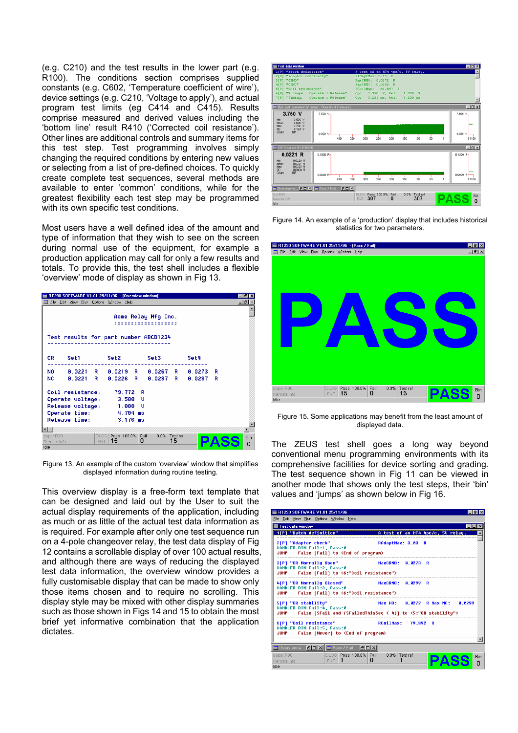(e.g. C210) and the test results in the lower part (e.g. R100). The conditions section comprises supplied constants (e.g. C602, 'Temperature coefficient of wire'), device settings (e.g. C210, 'Voltage to apply'), and actual program test limits (eg C414 and C415). Results comprise measured and derived values including the 'bottom line' result R410 ('Corrected coil resistance'). Other lines are additional controls and summary items for this test step. Test programming involves simply changing the required conditions by entering new values or selecting from a list of pre-defined choices. To quickly create complete test sequences, several methods are available to enter 'common' conditions, while for the greatest flexibility each test step may be programmed with its own specific test conditions.

Most users have a well defined idea of the amount and statistics for two parameters. type of information that they wish to see on the screen during normal use of the equipment, for example a production application may call for only a few results and totals. To provide this, the test shell includes a flexible 'overview' mode of display as shown in Fig 13.

| RT290 SOFTWARE V1.01 25/11/96 - [Overview window]                                                    | - 18     |  |  |  |  |  |  |  |
|------------------------------------------------------------------------------------------------------|----------|--|--|--|--|--|--|--|
| Edit View Run Options Window Help<br>File                                                            | -191     |  |  |  |  |  |  |  |
| Acme Relay Mfg Inc.                                                                                  |          |  |  |  |  |  |  |  |
| Test results for part number ABCD1234                                                                |          |  |  |  |  |  |  |  |
| CR.                                                                                                  | Set4     |  |  |  |  |  |  |  |
| NO 0.0221 R 0.0219 R 0.0267 R 0.0273                                                                 | R        |  |  |  |  |  |  |  |
| <b>NC</b><br>0.0221 R 0.0226 R 0.0297 R 0.0297                                                       | R        |  |  |  |  |  |  |  |
| Coil resistance: 79.772 R<br>Operate voltage: 3.500 U                                                |          |  |  |  |  |  |  |  |
| Release voltage:<br>1.000 U                                                                          |          |  |  |  |  |  |  |  |
| Operate time:<br>4.704 ms                                                                            |          |  |  |  |  |  |  |  |
| Release time:<br>3.176 ms                                                                            |          |  |  |  |  |  |  |  |
|                                                                                                      |          |  |  |  |  |  |  |  |
| DLOG Pass 100.0% Fail<br>0.0%<br><b>Test ref</b><br>paper.R90<br>15<br>15<br>0<br>PNT<br>Remote info | Bin<br>0 |  |  |  |  |  |  |  |
| Idle                                                                                                 |          |  |  |  |  |  |  |  |

Figure 13. An example of the custom 'overview' window that simplifies displayed information during routine testing.

This overview display is a free-form text template that can be designed and laid out by the User to suit the actual display requirements of the application, including as much or as little of the actual test data information as is required. For example after only one test sequence run on a 4-pole changeover relay, the test data display of Fig 12 contains a scrollable display of over 100 actual results, and although there are ways of reducing the displayed test data information, the overview window provides a fully customisable display that can be made to show only those items chosen and to require no scrolling. This display style may be mixed with other display summaries such as those shown in Figs 14 and 15 to obtain the most brief yet informative combination that the application dictates.



Figure 14. An example of a 'production' display that includes historical



Figure 15. Some applications may benefit from the least amount of displayed data.

The ZEUS test shell goes a long way beyond conventional menu programming environments with its comprehensive facilities for device sorting and grading. The test sequence shown in Fig 11 can be viewed in another mode that shows only the test steps, their 'bin' values and 'jumps' as shown below in Fig 16.

| RT290 SOFTWARE V1.01 25/11/96                                                                                                                             | $ \theta$ $\times$ |
|-----------------------------------------------------------------------------------------------------------------------------------------------------------|--------------------|
| File Edit View Run Options Window Help                                                                                                                    |                    |
| <b>Test data window</b><br>$\Box$ ol $\times$                                                                                                             |                    |
| A test of an MT4 4pc/o, 50 relay.<br>1[P] "Batch definition"                                                                                              |                    |
| RAdaptMax: 3.03 R<br>2[P] "Adaptor check"<br>HANDLER BIN Fail:1, Pass:0<br>JUMP False [Fail] to <end of="" program=""></end>                              |                    |
| 3[P] "CR Normally Open"<br>MaxCRNO: 0.0273 R<br>HANDLER BIN Fail:2, Pass:0<br>False [Fail] to <6:"Coil resistance"><br>JUMP                               |                    |
| 4[P] "CR Normally Closed"<br>MaxCRNC: 0.0299 R<br>HANDLER BIN Fail:3, Pass:0<br>JUMP False [Fail] to <6:"Coil resistance">                                |                    |
| 5[P] "CR stability"<br>Max NO: 0.0272 R Max NC: 0.0299<br>HANDLER BIN Fail:4. Pass:0<br>JUMP False [SFail and (SFailedThisSeq < 4)] to <5:"CR stability"> |                    |
| 6[P] "Coil resistance"<br><b>RCnilMax: 79.892 R</b><br>HANDLER BIN Fail:5, Pass:0<br>False [Never] to <end of="" program=""><br/><b>JUMP</b></end>        |                    |
| Overview w <b>BDX</b> Pass / Fail<br>$B$ $ D $ $X$                                                                                                        |                    |
| DLOG Pass 100.0% Fail<br>0.0% Test ref<br>paper.R90<br>0<br>PNT<br>Remote info<br>Idle                                                                    | <b>Rin</b><br>n    |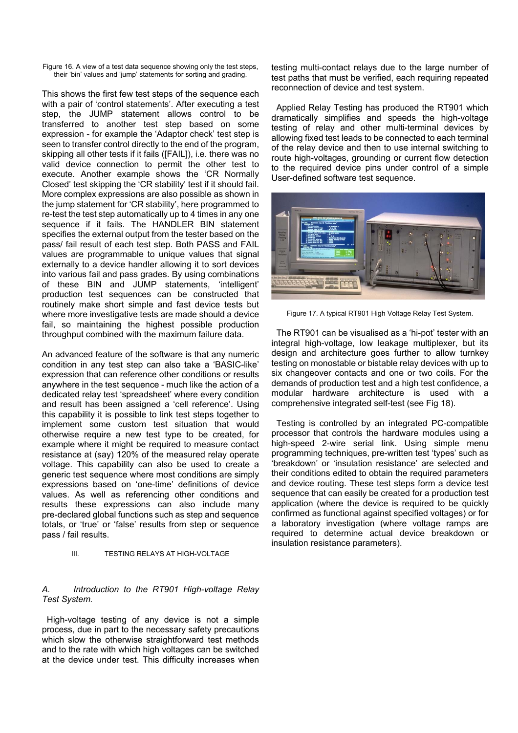Figure 16. A view of a test data sequence showing only the test steps, their 'bin' values and 'jump' statements for sorting and grading.

This shows the first few test steps of the sequence each with a pair of 'control statements'. After executing a test step, the JUMP statement allows control to be transferred to another test step based on some expression - for example the 'Adaptor check' test step is seen to transfer control directly to the end of the program, skipping all other tests if it fails ([FAIL]), i.e. there was no valid device connection to permit the other test to execute. Another example shows the 'CR Normally Closed' test skipping the 'CR stability' test if it should fail. More complex expressions are also possible as shown in the jump statement for 'CR stability', here programmed to re-test the test step automatically up to 4 times in any one sequence if it fails. The HANDLER BIN statement specifies the external output from the tester based on the pass/ fail result of each test step. Both PASS and FAIL values are programmable to unique values that signal externally to a device handler allowing it to sort devices into various fail and pass grades. By using combinations of these BIN and JUMP statements, 'intelligent' production test sequences can be constructed that routinely make short simple and fast device tests but where more investigative tests are made should a device fail, so maintaining the highest possible production throughput combined with the maximum failure data.

An advanced feature of the software is that any numeric condition in any test step can also take a 'BASIC-like' expression that can reference other conditions or results anywhere in the test sequence - much like the action of a dedicated relay test 'spreadsheet' where every condition and result has been assigned a 'cell reference'. Using this capability it is possible to link test steps together to implement some custom test situation that would otherwise require a new test type to be created, for example where it might be required to measure contact resistance at (say) 120% of the measured relay operate voltage. This capability can also be used to create a generic test sequence where most conditions are simply expressions based on 'one-time' definitions of device values. As well as referencing other conditions and results these expressions can also include many pre-declared global functions such as step and sequence totals, or 'true' or 'false' results from step or sequence pass / fail results.

#### III. TESTING RELAYS AT HIGH-VOLTAGE

#### *A. Introduction to the RT901 High-voltage Relay Test System.*

High-voltage testing of any device is not a simple process, due in part to the necessary safety precautions which slow the otherwise straightforward test methods and to the rate with which high voltages can be switched at the device under test. This difficulty increases when testing multi-contact relays due to the large number of test paths that must be verified, each requiring repeated reconnection of device and test system.

Applied Relay Testing has produced the RT901 which dramatically simplifies and speeds the high-voltage testing of relay and other multi-terminal devices by allowing fixed test leads to be connected to each terminal of the relay device and then to use internal switching to route high-voltages, grounding or current flow detection to the required device pins under control of a simple User-defined software test sequence.



Figure 17. A typical RT901 High Voltage Relay Test System.

The RT901 can be visualised as a 'hi-pot' tester with an integral high-voltage, low leakage multiplexer, but its design and architecture goes further to allow turnkey testing on monostable or bistable relay devices with up to six changeover contacts and one or two coils. For the demands of production test and a high test confidence, a modular hardware architecture is used with a comprehensive integrated self-test (see Fig 18).

Testing is controlled by an integrated PC-compatible processor that controls the hardware modules using a high-speed 2-wire serial link. Using simple menu programming techniques, pre-written test 'types' such as 'breakdown' or 'insulation resistance' are selected and their conditions edited to obtain the required parameters and device routing. These test steps form a device test sequence that can easily be created for a production test application (where the device is required to be quickly confirmed as functional against specified voltages) or for a laboratory investigation (where voltage ramps are required to determine actual device breakdown or insulation resistance parameters).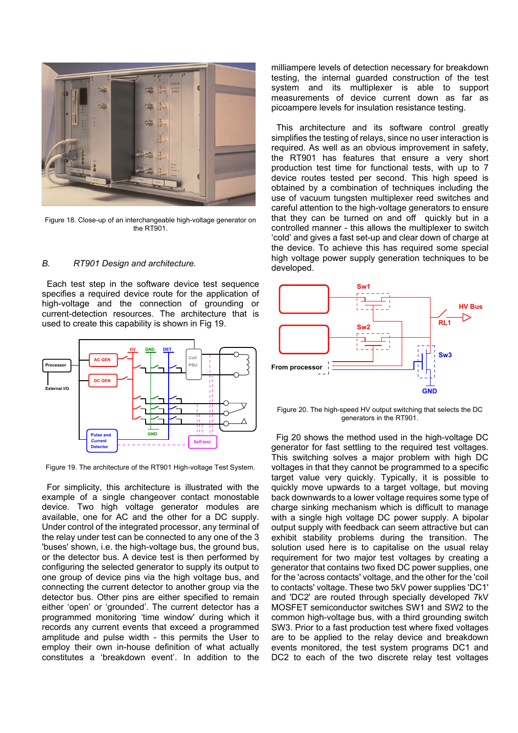

Figure 18. Close-up of an interchangeable high-voltage generator on the RT901

## *B. RT901 Design and architecture.*

Each test step in the software device test sequence specifies a required device route for the application of high-voltage and the connection of grounding or current-detection resources. The architecture that is used to create this capability is shown in Fig 19.



Figure 19. The architecture of the RT901 High-voltage Test System.

For simplicity, this architecture is illustrated with the example of a single changeover contact monostable device. Two high voltage generator modules are available, one for AC and the other for a DC supply. Under control of the integrated processor, any terminal of the relay under test can be connected to any one of the 3 'buses' shown, i.e. the high-voltage bus, the ground bus, or the detector bus. A device test is then performed by configuring the selected generator to supply its output to one group of device pins via the high voltage bus, and connecting the current detector to another group via the detector bus. Other pins are either specified to remain either 'open' or 'grounded'. The current detector has a programmed monitoring 'time window' during which it records any current events that exceed a programmed amplitude and pulse width - this permits the User to employ their own in-house definition of what actually constitutes a 'breakdown event'. In addition to the

milliampere levels of detection necessary for breakdown testing, the internal guarded construction of the test system and its multiplexer is able to support measurements of device current down as far as picoampere levels for insulation resistance testing.

This architecture and its software control greatly simplifies the testing of relays, since no user interaction is required. As well as an obvious improvement in safety, the RT901 has features that ensure a very short production test time for functional tests, with up to 7 device routes tested per second. This high speed is obtained by a combination of techniques including the use of vacuum tungsten multiplexer reed switches and careful attention to the high-voltage generators to ensure that they can be turned on and off quickly but in a controlled manner - this allows the multiplexer to switch 'cold' and gives a fast set-up and clear down of charge at the device. To achieve this has required some special high voltage power supply generation techniques to be developed.



Figure 20. The high-speed HV output switching that selects the DC generators in the RT901.

Fig 20 shows the method used in the high-voltage DC generator for fast settling to the required test voltages. This switching solves a major problem with high DC voltages in that they cannot be programmed to a specific target value very quickly. Typically, it is possible to quickly move upwards to a target voltage, but moving back downwards to a lower voltage requires some type of charge sinking mechanism which is difficult to manage with a single high voltage DC power supply. A bipolar output supply with feedback can seem attractive but can exhibit stability problems during the transition. The solution used here is to capitalise on the usual relay requirement for two major test voltages by creating a generator that contains two fixed DC power supplies, one for the 'across contacts' voltage, and the other for the 'coil to contacts' voltage. These two 5kV power supplies 'DC1' and 'DC2' are routed through specially developed 7kV MOSFET semiconductor switches SW1 and SW2 to the common high-voltage bus, with a third grounding switch SW3. Prior to a fast production test where fixed voltages are to be applied to the relay device and breakdown events monitored, the test system programs DC1 and DC2 to each of the two discrete relay test voltages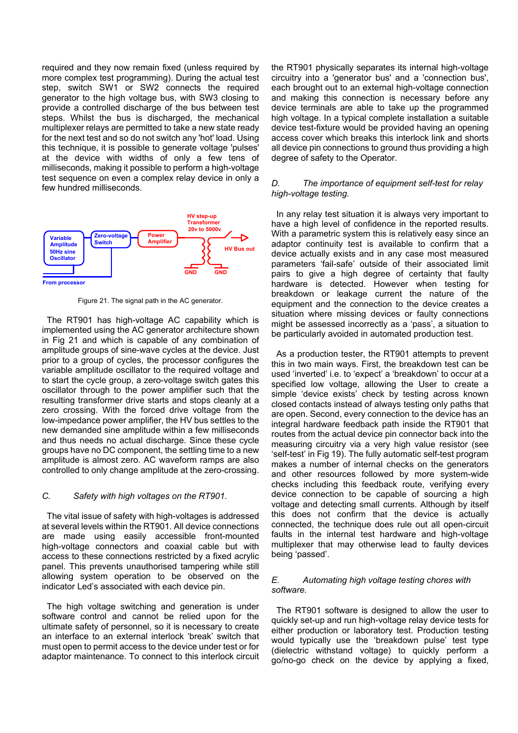required and they now remain fixed (unless required by more complex test programming). During the actual test step, switch SW1 or SW2 connects the required generator to the high voltage bus, with SW3 closing to provide a controlled discharge of the bus between test steps. Whilst the bus is discharged, the mechanical multiplexer relays are permitted to take a new state ready for the next test and so do not switch any 'hot' load. Using this technique, it is possible to generate voltage 'pulses' at the device with widths of only a few tens of milliseconds, making it possible to perform a high-voltage test sequence on even a complex relay device in only a few hundred milliseconds.



Figure 21. The signal path in the AC generator.

The RT901 has high-voltage AC capability which is implemented using the AC generator architecture shown in Fig 21 and which is capable of any combination of amplitude groups of sine-wave cycles at the device. Just prior to a group of cycles, the processor configures the variable amplitude oscillator to the required voltage and to start the cycle group, a zero-voltage switch gates this oscillator through to the power amplifier such that the resulting transformer drive starts and stops cleanly at a zero crossing. With the forced drive voltage from the low-impedance power amplifier, the HV bus settles to the new demanded sine amplitude within a few milliseconds and thus needs no actual discharge. Since these cycle groups have no DC component, the settling time to a new amplitude is almost zero. AC waveform ramps are also controlled to only change amplitude at the zero-crossing.

## *C. Safety with high voltages on the RT901.*

The vital issue of safety with high-voltages is addressed at several levels within the RT901. All device connections are made using easily accessible front-mounted high-voltage connectors and coaxial cable but with access to these connections restricted by a fixed acrylic panel. This prevents unauthorised tampering while still allowing system operation to be observed on the indicator Led's associated with each device pin.

The high voltage switching and generation is under software control and cannot be relied upon for the ultimate safety of personnel, so it is necessary to create an interface to an external interlock 'break' switch that must open to permit access to the device under test or for adaptor maintenance. To connect to this interlock circuit the RT901 physically separates its internal high-voltage circuitry into a 'generator bus' and a 'connection bus', each brought out to an external high-voltage connection and making this connection is necessary before any device terminals are able to take up the programmed high voltage. In a typical complete installation a suitable device test-fixture would be provided having an opening access cover which breaks this interlock link and shorts all device pin connections to ground thus providing a high degree of safety to the Operator.

#### *D. The importance of equipment self-test for relay high-voltage testing.*

In any relay test situation it is always very important to have a high level of confidence in the reported results. With a parametric system this is relatively easy since an adaptor continuity test is available to confirm that a device actually exists and in any case most measured parameters 'fail-safe' outside of their associated limit pairs to give a high degree of certainty that faulty hardware is detected. However when testing for breakdown or leakage current the nature of the equipment and the connection to the device creates a situation where missing devices or faulty connections might be assessed incorrectly as a 'pass', a situation to be particularly avoided in automated production test.

As a production tester, the RT901 attempts to prevent this in two main ways. First, the breakdown test can be used 'inverted' i.e. to 'expect' a 'breakdown' to occur at a specified low voltage, allowing the User to create a simple 'device exists' check by testing across known closed contacts instead of always testing only paths that are open. Second, every connection to the device has an integral hardware feedback path inside the RT901 that routes from the actual device pin connector back into the measuring circuitry via a very high value resistor (see 'self-test' in Fig 19). The fully automatic self-test program makes a number of internal checks on the generators and other resources followed by more system-wide checks including this feedback route, verifying every device connection to be capable of sourcing a high voltage and detecting small currents. Although by itself this does not confirm that the device is actually connected, the technique does rule out all open-circuit faults in the internal test hardware and high-voltage multiplexer that may otherwise lead to faulty devices being 'passed'.

#### *E. Automating high voltage testing chores with software.*

The RT901 software is designed to allow the user to quickly set-up and run high-voltage relay device tests for either production or laboratory test. Production testing would typically use the 'breakdown pulse' test type (dielectric withstand voltage) to quickly perform a go/no-go check on the device by applying a fixed,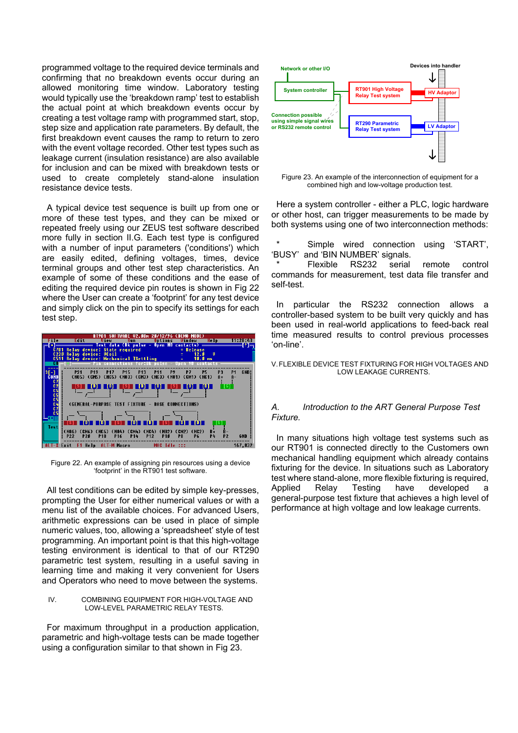programmed voltage to the required device terminals and confirming that no breakdown events occur during an allowed monitoring time window. Laboratory testing would typically use the 'breakdown ramp' test to establish the actual point at which breakdown events occur by creating a test voltage ramp with programmed start, stop, step size and application rate parameters. By default, the first breakdown event causes the ramp to return to zero with the event voltage recorded. Other test types such as leakage current (insulation resistance) are also available for inclusion and can be mixed with breakdown tests or used to create completely stand-alone insulation resistance device tests.

A typical device test sequence is built up from one or more of these test types, and they can be mixed or repeated freely using our ZEUS test software described more fully in section II.G. Each test type is configured with a number of input parameters ('conditions') which are easily edited, defining voltages, times, device terminal groups and other test step characteristics. An example of some of these conditions and the ease of editing the required device pin routes is shown in Fig 22 where the User can create a 'footprint' for any test device and simply click on the pin to specify its settings for each test step.



Figure 22. An example of assigning pin resources using a device 'footprint' in the RT901 test software.

All test conditions can be edited by simple key-presses, prompting the User for either numerical values or with a menu list of the available choices. For advanced Users, arithmetic expressions can be used in place of simple numeric values, too, allowing a 'spreadsheet' style of test programming. An important point is that this high-voltage testing environment is identical to that of our RT290 parametric test system, resulting in a useful saving in learning time and making it very convenient for Users and Operators who need to move between the systems.

#### IV. COMBINING EQUIPMENT FOR HIGH-VOLTAGE AND LOW-LEVEL PARAMETRIC RELAY TESTS.

For maximum throughput in a production application, parametric and high-voltage tests can be made together using a configuration similar to that shown in Fig 23.



Figure 23. An example of the interconnection of equipment for a combined high and low-voltage production test.

Here a system controller - either a PLC, logic hardware or other host, can trigger measurements to be made by both systems using one of two interconnection methods:

Simple wired connection using 'START'. 'BUSY' and 'BIN NUMBER' signals.

Flexible RS232 serial remote control commands for measurement, test data file transfer and self-test.

In particular the RS232 connection allows a controller-based system to be built very quickly and has been used in real-world applications to feed-back real time measured results to control previous processes 'on-line'.

V. FLEXIBLE DEVICE TEST FIXTURING FOR HIGH VOLTAGES AND LOW LEAKAGE CURRENTS.

### *A. Introduction to the ART General Purpose Test Fixture.*

In many situations high voltage test systems such as our RT901 is connected directly to the Customers own mechanical handling equipment which already contains fixturing for the device. In situations such as Laboratory test where stand-alone, more flexible fixturing is required, Applied Relay Testing have developed a general-purpose test fixture that achieves a high level of performance at high voltage and low leakage currents.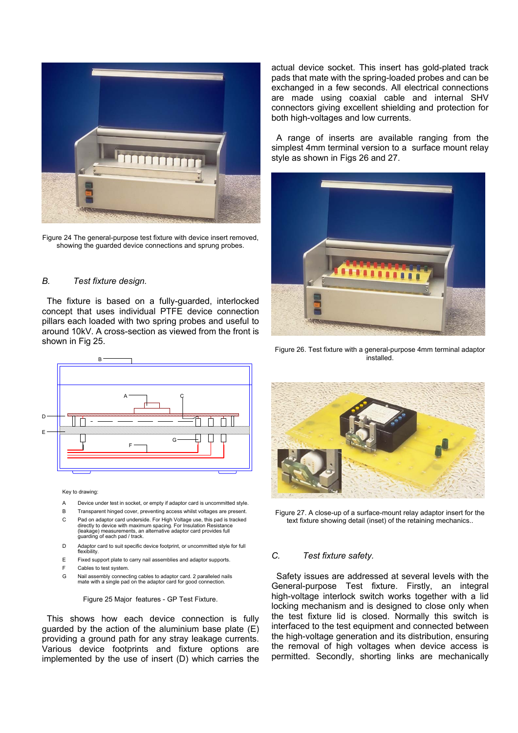

Figure 24 The general-purpose test fixture with device insert removed, showing the guarded device connections and sprung probes.

## *B. Test fixture design.*

The fixture is based on a fully-guarded, interlocked concept that uses individual PTFE device connection pillars each loaded with two spring probes and useful to around 10kV. A cross-section as viewed from the front is shown in Fig 25.



#### Key to drawing:

- A Device under test in socket, or empty if adaptor card is uncommitted style.
- B Transparent hinged cover, preventing access whilst voltages are present.
- C Pad on adaptor card underside. For High Voltage use, this pad is tracked directly to device with maximum spacing. For Insulation Resistance (leakage) measurements, an alternative adaptor card provides full guarding of each pad / track.
- D Adaptor card to suit specific device footprint, or uncommitted style for full flexibility.
- E Fixed support plate to carry nail assemblies and adaptor supports.
- F Cables to test system.
- G Nail assembly connecting cables to adaptor card. 2 paralleled nails mate with a single pad on the adaptor card for good connection.

Figure 25 Major features - GP Test Fixture.

This shows how each device connection is fully guarded by the action of the aluminium base plate (E) providing a ground path for any stray leakage currents. Various device footprints and fixture options are implemented by the use of insert (D) which carries the actual device socket. This insert has gold-plated track pads that mate with the spring-loaded probes and can be exchanged in a few seconds. All electrical connections are made using coaxial cable and internal SHV connectors giving excellent shielding and protection for both high-voltages and low currents.

A range of inserts are available ranging from the simplest 4mm terminal version to a surface mount relay style as shown in Figs 26 and 27.



Figure 26. Test fixture with a general-purpose 4mm terminal adaptor installed.



Figure 27. A close-up of a surface-mount relay adaptor insert for the text fixture showing detail (inset) of the retaining mechanics..

#### *C. Test fixture safety.*

Safety issues are addressed at several levels with the General-purpose Test fixture. Firstly, an integral high-voltage interlock switch works together with a lid locking mechanism and is designed to close only when the test fixture lid is closed. Normally this switch is interfaced to the test equipment and connected between the high-voltage generation and its distribution, ensuring the removal of high voltages when device access is permitted. Secondly, shorting links are mechanically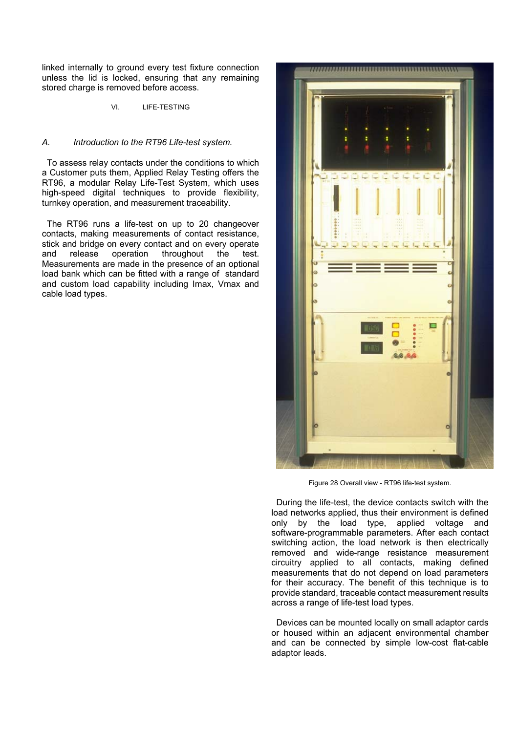linked internally to ground every test fixture connection unless the lid is locked, ensuring that any remaining stored charge is removed before access.

VI. LIFE-TESTING

## *A. Introduction to the RT96 Life-test system.*

To assess relay contacts under the conditions to which a Customer puts them, Applied Relay Testing offers the RT96, a modular Relay Life-Test System, which uses high-speed digital techniques to provide flexibility, turnkey operation, and measurement traceability.

The RT96 runs a life-test on up to 20 changeover contacts, making measurements of contact resistance, stick and bridge on every contact and on every operate and release operation throughout the test. Measurements are made in the presence of an optional load bank which can be fitted with a range of standard and custom load capability including Imax, Vmax and cable load types.



Figure 28 Overall view - RT96 life-test system.

During the life-test, the device contacts switch with the load networks applied, thus their environment is defined only by the load type, applied voltage and software-programmable parameters. After each contact switching action, the load network is then electrically removed and wide-range resistance measurement circuitry applied to all contacts, making defined measurements that do not depend on load parameters for their accuracy. The benefit of this technique is to provide standard, traceable contact measurement results across a range of life-test load types.

Devices can be mounted locally on small adaptor cards or housed within an adjacent environmental chamber and can be connected by simple low-cost flat-cable adaptor leads.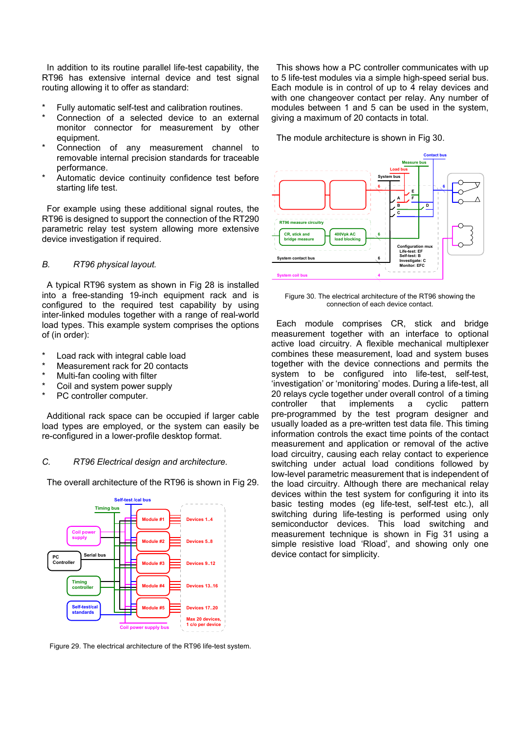In addition to its routine parallel life-test capability, the RT96 has extensive internal device and test signal routing allowing it to offer as standard:

- Fully automatic self-test and calibration routines.
- Connection of a selected device to an external monitor connector for measurement by other equipment. The module architecture is shown in Fig 30.
- Connection of any measurement channel to removable internal precision standards for traceable performance.
- Automatic device continuity confidence test before starting life test.

For example using these additional signal routes, the RT96 is designed to support the connection of the RT290 parametric relay test system allowing more extensive device investigation if required.

### *B. RT96 physical layout.*

A typical RT96 system as shown in Fig 28 is installed into a free-standing 19-inch equipment rack and is configured to the required test capability by using inter-linked modules together with a range of real-world load types. This example system comprises the options of (in order):

- Load rack with integral cable load
- Measurement rack for 20 contacts
- Multi-fan cooling with filter
- Coil and system power supply
- PC controller computer.

Additional rack space can be occupied if larger cable load types are employed, or the system can easily be re-configured in a lower-profile desktop format.

#### *C. RT96 Electrical design and architecture.*

The overall architecture of the RT96 is shown in Fig 29.



Figure 29. The electrical architecture of the RT96 life-test system.

This shows how a PC controller communicates with up to 5 life-test modules via a simple high-speed serial bus. Each module is in control of up to 4 relay devices and with one changeover contact per relay. Any number of modules between 1 and 5 can be used in the system, giving a maximum of 20 contacts in total.



Figure 30. The electrical architecture of the RT96 showing the connection of each device contact.

Each module comprises CR, stick and bridge measurement together with an interface to optional active load circuitry. A flexible mechanical multiplexer combines these measurement, load and system buses together with the device connections and permits the system to be configured into life-test, self-test, 'investigation' or 'monitoring' modes. During a life-test, all 20 relays cycle together under overall control of a timing controller that implements a cyclic pattern pre-programmed by the test program designer and usually loaded as a pre-written test data file. This timing information controls the exact time points of the contact measurement and application or removal of the active load circuitry, causing each relay contact to experience switching under actual load conditions followed by low-level parametric measurement that is independent of the load circuitry. Although there are mechanical relay devices within the test system for configuring it into its basic testing modes (eg life-test, self-test etc.), all switching during life-testing is performed using only semiconductor devices. This load switching and measurement technique is shown in Fig 31 using a simple resistive load 'Rload', and showing only one device contact for simplicity.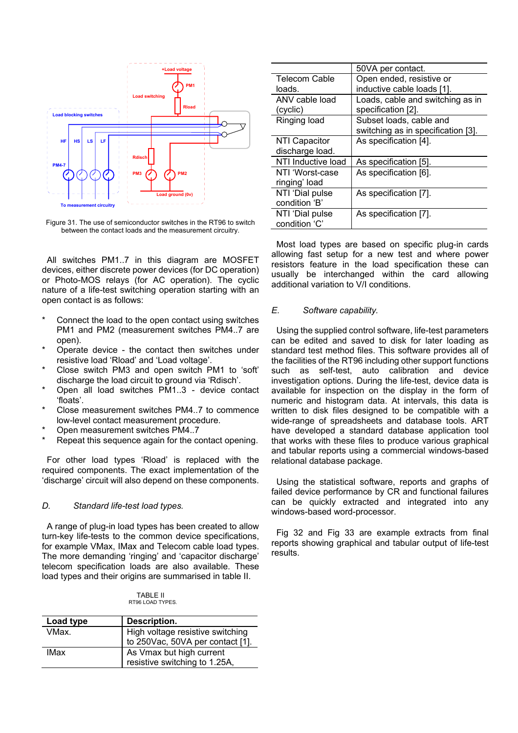

Figure 31. The use of semiconductor switches in the RT96 to switch between the contact loads and the measurement circuitry.

All switches PM1..7 in this diagram are MOSFET devices, either discrete power devices (for DC operation) or Photo-MOS relays (for AC operation). The cyclic nature of a life-test switching operation starting with an open contact is as follows:

- Connect the load to the open contact using switches PM1 and PM2 (measurement switches PM4..7 are open).
- Operate device the contact then switches under resistive load 'Rload' and 'Load voltage'.
- Close switch PM3 and open switch PM1 to 'soft' discharge the load circuit to ground via 'Rdisch'.
- Open all load switches PM1..3 device contact 'floats'.
- Close measurement switches PM4..7 to commence low-level contact measurement procedure.
- Open measurement switches PM4..7
- Repeat this sequence again for the contact opening.

For other load types 'Rload' is replaced with the required components. The exact implementation of the 'discharge' circuit will also depend on these components.

#### *D. Standard life-test load types.*

A range of plug-in load types has been created to allow turn-key life-tests to the common device specifications, for example VMax, IMax and Telecom cable load types. The more demanding 'ringing' and 'capacitor discharge' telecom specification loads are also available. These load types and their origins are summarised in table II.

| TABLE II         |
|------------------|
| RT96 LOAD TYPES. |

| Load type | Description.                                                         |
|-----------|----------------------------------------------------------------------|
| VMax.     | High voltage resistive switching<br>to 250Vac, 50VA per contact [1]. |
| IMax      | As Vmax but high current<br>resistive switching to 1.25A,            |

|                      | 50VA per contact.                  |  |  |  |
|----------------------|------------------------------------|--|--|--|
| <b>Telecom Cable</b> | Open ended, resistive or           |  |  |  |
| loads.               | inductive cable loads [1].         |  |  |  |
| ANV cable load       | Loads, cable and switching as in   |  |  |  |
| (cyclic)             | specification [2].                 |  |  |  |
| Ringing load         | Subset loads, cable and            |  |  |  |
|                      | switching as in specification [3]. |  |  |  |
| <b>NTI Capacitor</b> | As specification [4].              |  |  |  |
| discharge load.      |                                    |  |  |  |
| NTI Inductive load   | As specification [5].              |  |  |  |
| NTI 'Worst-case      | As specification [6].              |  |  |  |
| ringing' load        |                                    |  |  |  |
| NTI 'Dial pulse      | As specification [7].              |  |  |  |
| condition 'B'        |                                    |  |  |  |
| NTI 'Dial pulse      | As specification [7].              |  |  |  |
| condition 'C'        |                                    |  |  |  |

Most load types are based on specific plug-in cards allowing fast setup for a new test and where power resistors feature in the load specification these can usually be interchanged within the card allowing additional variation to V/I conditions.

#### *E. Software capability.*

Using the supplied control software, life-test parameters can be edited and saved to disk for later loading as standard test method files. This software provides all of the facilities of the RT96 including other support functions such as self-test, auto calibration and device investigation options. During the life-test, device data is available for inspection on the display in the form of numeric and histogram data. At intervals, this data is written to disk files designed to be compatible with a wide-range of spreadsheets and database tools. ART have developed a standard database application tool that works with these files to produce various graphical and tabular reports using a commercial windows-based relational database package.

Using the statistical software, reports and graphs of failed device performance by CR and functional failures can be quickly extracted and integrated into any windows-based word-processor.

Fig 32 and Fig 33 are example extracts from final reports showing graphical and tabular output of life-test results.